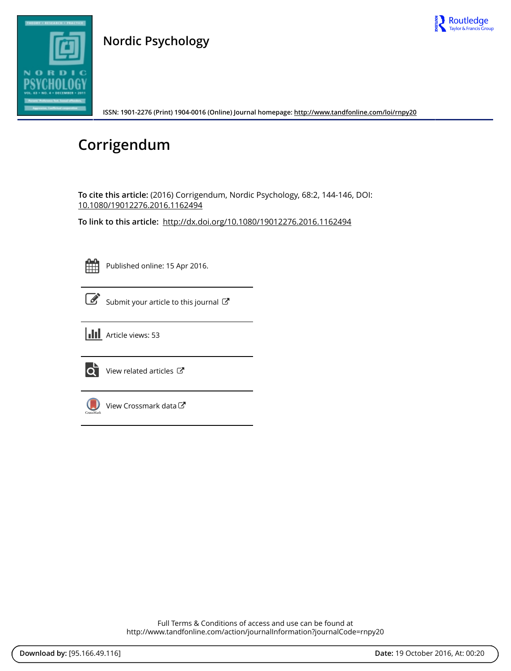

### **Nordic Psychology**



**ISSN: 1901-2276 (Print) 1904-0016 (Online) Journal homepage:<http://www.tandfonline.com/loi/rnpy20>**

# **Corrigendum**

**To cite this article:** (2016) Corrigendum, Nordic Psychology, 68:2, 144-146, DOI: [10.1080/19012276.2016.1162494](http://www.tandfonline.com/action/showCitFormats?doi=10.1080/19012276.2016.1162494)

**To link to this article:** <http://dx.doi.org/10.1080/19012276.2016.1162494>

Published online: 15 Apr 2016.

[Submit your article to this journal](http://www.tandfonline.com/action/authorSubmission?journalCode=rnpy20&show=instructions) C

 $\left| \right|$  Article views: 53



 $\overrightarrow{O}$  [View related articles](http://www.tandfonline.com/doi/mlt/10.1080/19012276.2016.1162494)  $\overrightarrow{C}$ 



[View Crossmark data](http://crossmark.crossref.org/dialog/?doi=10.1080/19012276.2016.1162494&domain=pdf&date_stamp=2016-04-15)

Full Terms & Conditions of access and use can be found at <http://www.tandfonline.com/action/journalInformation?journalCode=rnpy20>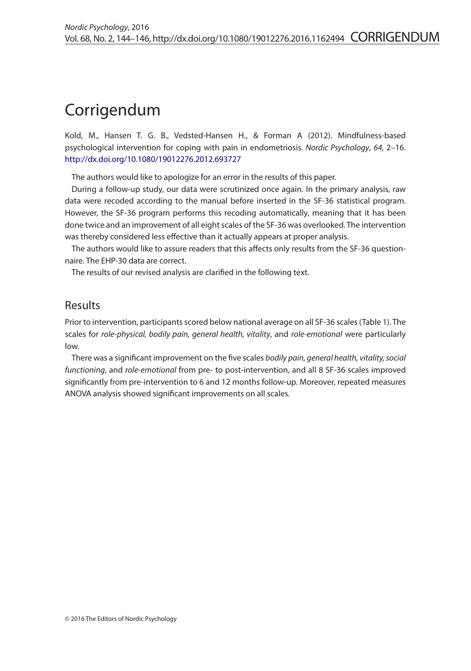## Corrigendum

Kold, M., Hansen T. G. B., Vedsted-Hansen H., & Forman A (2012). Mindfulness-based psychological intervention for coping with pain in endometriosis. *Nordic Psychology*, *64,* 2–16. <http://dx.doi.org/10.1080/19012276.2012.693727>

The authors would like to apologize for an error in the results of this paper.

During a follow-up study, our data were scrutinized once again. In the primary analysis, raw data were recoded according to the manual before inserted in the SF-36 statistical program. However, the SF-36 program performs this recoding automatically, meaning that it has been done twice and an improvement of all eight scales of the SF-36 was overlooked. The intervention was thereby considered less effective than it actually appears at proper analysis.

The authors would like to assure readers that this affects only results from the SF-36 questionnaire. The EHP-30 data are correct.

The results of our revised analysis are clarified in the following text.

### Results

Prior to intervention, participants scored below national average on all SF-36 scales (Table 1). The scales for *role*-*physical, bodily pain, general health, vitality*, and *role*-*emotional* were particularly low.

There was a significant improvement on the five scales *bodily pain, general health, vitality, social functioning*, and *role*-*emotional* from pre- to post-intervention, and all 8 SF-36 scales improved significantly from pre-intervention to 6 and 12 months follow-up. Moreover, repeated measures ANOVA analysis showed significant improvements on all scales.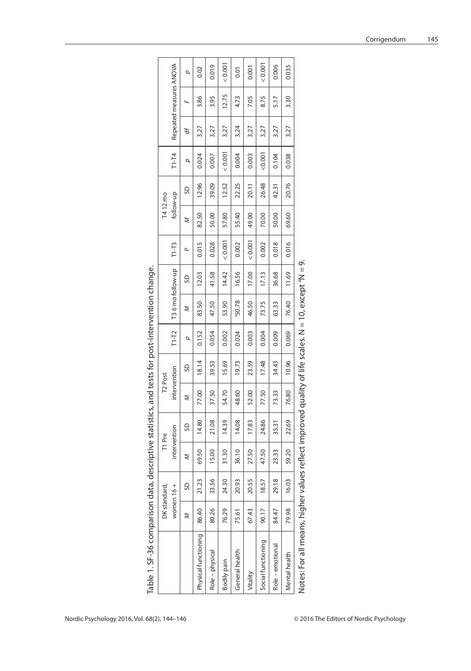| Table 1. SF-36 comparison data                                                                                  |       |                  | , descriptive statistics, and tests for post-intervention change. |              |                     |       |         |                    |                  |           |           |       |           |      |                         |       |
|-----------------------------------------------------------------------------------------------------------------|-------|------------------|-------------------------------------------------------------------|--------------|---------------------|-------|---------|--------------------|------------------|-----------|-----------|-------|-----------|------|-------------------------|-------|
|                                                                                                                 |       | DK standard,     |                                                                   | T1 Pre       | T <sub>2</sub> Post |       |         |                    |                  |           | T4 12 mo  |       |           |      |                         |       |
|                                                                                                                 |       | women 16+        |                                                                   | intervention | intervention        |       | $T1-T2$ |                    | T36 mo follow-up | $T1 - T3$ | follow-up |       | $T1 - T4$ |      | Repeated measures ANOVA |       |
|                                                                                                                 | Z     | S                | Σ                                                                 | SD           | z                   | SD    | σ       | z                  | SD               | ٩         | Z         | SD    | p         | ₩    | u                       | σ     |
| Physical functioning                                                                                            | 86.40 | 21.23            | 69.50                                                             | 14.80        | 77.00               | 18.14 | 0.152   | 83.50              | 12.03            | 0.015     | 82.50     | 12.96 | 0.024     | 3,27 | 3.86                    | 0.02  |
| Role – physical                                                                                                 | 80.26 | 33.56            | 15.00                                                             | 21.08        | 37.50               | 39.53 | 0.054   | 47.50              | 41.58            | 0.028     | 50.00     | 39.09 | 0.007     | 3,27 | 3.95                    | 0.019 |
| Bodily pain                                                                                                     | 76.29 | 24.30            | 31.30                                                             | 14.39        | 54.70               | 15.69 | 0.002   | 53.90              | 14.42            | 0.001     | 57.80     | 12.52 | 0.001     | 3,27 | 12.75                   | 0.001 |
| General health                                                                                                  | 75.61 | 20.93            | 36.10                                                             | 14.08        | 48.60               | 19.73 | 0.024   | <sup>a</sup> 50.78 | 16.56            | 0.002     | 55.40     | 22.25 | 0.004     | 3,24 | 4.73                    | 0.01  |
| Vitality                                                                                                        | 67.43 | 20.55            | 27.50                                                             | 17.83        | 52.00               | 23.59 | 0.003   | 46.50              | 17.00            | 0.001     | 49.00     | 20.11 | 0.003     | 3,27 | 7.05                    | 0.001 |
| Social functioning                                                                                              | 90.17 | 18.57            | 47.50                                                             | 24.86        | 77.50               | 17.48 | 0.004   | 73.75              | 17.13            | 0.002     | 70.00     | 26.48 | 0.001     | 3,27 | 8.75                    | 0.001 |
| Role - emotional                                                                                                | 84.47 | $\infty$<br>29.1 | 23.33                                                             | 35.31        | 73.33               | 34.43 | 0.009   | 63.33              | 36.68            | 0.018     | 50.00     | 42.31 | 0.104     | 3,27 | 5.17                    | 0.006 |
| Mental health                                                                                                   | 79.98 | 16.03            | 59.20                                                             | 22.69        | 76.80               | 10.96 | 0.069   | 76.40              | 11.69            | 0.016     | 69.60     | 20.76 | 0.038     | 3,27 | 3.30                    | 0.035 |
| Notes: For all means, higher values reflect improved quality of life scales. N = 10, except <sup>a</sup> N = 9. |       |                  |                                                                   |              |                     |       |         |                    |                  |           |           |       |           |      |                         |       |

| ١                                           |
|---------------------------------------------|
|                                             |
|                                             |
| change in a case of the second that contain |
|                                             |
|                                             |
|                                             |
|                                             |
|                                             |
|                                             |
|                                             |
|                                             |
|                                             |
|                                             |
|                                             |
| $\frac{5}{2}$                               |
|                                             |
|                                             |
| とうサムニ サンク 2 とうサ りサリクサ アクラ                   |
|                                             |
|                                             |
|                                             |
|                                             |
|                                             |
|                                             |
| $\frac{1}{2}$                               |
|                                             |
|                                             |
|                                             |
|                                             |
|                                             |
|                                             |
|                                             |
|                                             |
|                                             |
|                                             |
|                                             |
|                                             |
| ごうて りすりす 2つじょうろう                            |
|                                             |
|                                             |
|                                             |
|                                             |
|                                             |
|                                             |
|                                             |
|                                             |
|                                             |
|                                             |
| 20  1  20 <br> -                            |
|                                             |
| r<br>L                                      |
|                                             |
|                                             |
|                                             |
|                                             |
|                                             |
| l                                           |
|                                             |

Notes: For all means, higher values reflect improved quality of life scales. N = 10, except <sup>a</sup>N = 9.  $\overline{\phantom{a}}$ J. ءَ N 5 ż. ΰ ह् ñ  $\equiv$  $\overline{\overline{5}}$ Anienh n<br>S 5  $\frac{5}{2}$ J.  $\frac{1}{5}$ ů ड़ ıs, myner ᅙ E, ₫. ă  $\frac{1}{2}$ 

145

Corrigendum